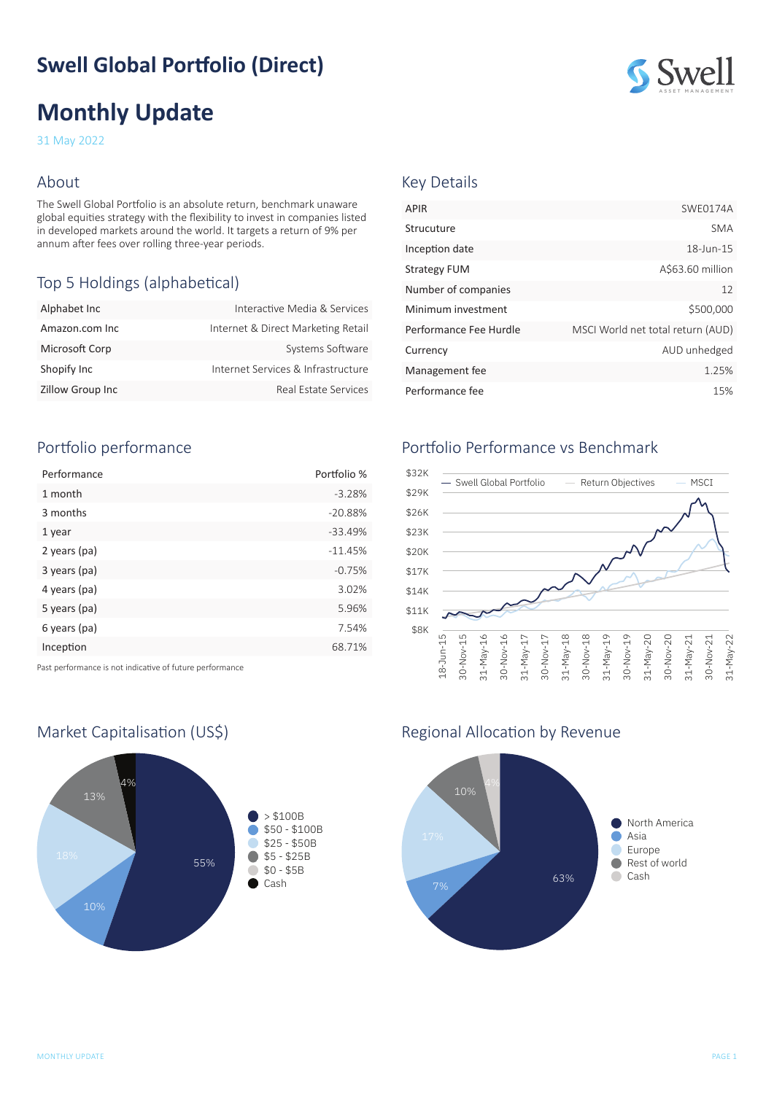# **Swell Global Portfolio (Direct)**

# **Monthly Update**

31 May 2022

#### About

The Swell Global Portfolio is an absolute return, benchmark unaware global equities strategy with the flexibility to invest in companies listed in developed markets around the world. It targets a return of 9% per annum after fees over rolling three-year periods.

# Top 5 Holdings (alphabetical)

| Alphabet Inc            | Interactive Media & Services       |
|-------------------------|------------------------------------|
| Amazon.com Inc          | Internet & Direct Marketing Retail |
| Microsoft Corp          | Systems Software                   |
| Shopify Inc             | Internet Services & Infrastructure |
| <b>Zillow Group Inc</b> | Real Estate Services               |

# Portfolio performance

| Performance  | Portfolio % |
|--------------|-------------|
| 1 month      | $-3.28%$    |
| 3 months     | $-20.88%$   |
| 1 year       | $-33.49%$   |
| 2 years (pa) | $-11.45%$   |
| 3 years (pa) | $-0.75%$    |
| 4 years (pa) | 3.02%       |
| 5 years (pa) | 5.96%       |
| 6 years (pa) | 7.54%       |
| Inception    | 68.71%      |
|              |             |

Past performance is not indicative of future performance



# ASSET MANAGEMENT

#### Key Details

| <b>APIR</b>            | SWE0174A                          |
|------------------------|-----------------------------------|
| Strucuture             | <b>SMA</b>                        |
| Inception date         | 18-Jun-15                         |
| <b>Strategy FUM</b>    | A\$63.60 million                  |
| Number of companies    | 12                                |
| Minimum investment     | \$500,000                         |
| Performance Fee Hurdle | MSCI World net total return (AUD) |
| Currency               | AUD unhedged                      |
| Management fee         | 1.25%                             |
| Performance fee        | 15%                               |

# Portfolio Performance vs Benchmark



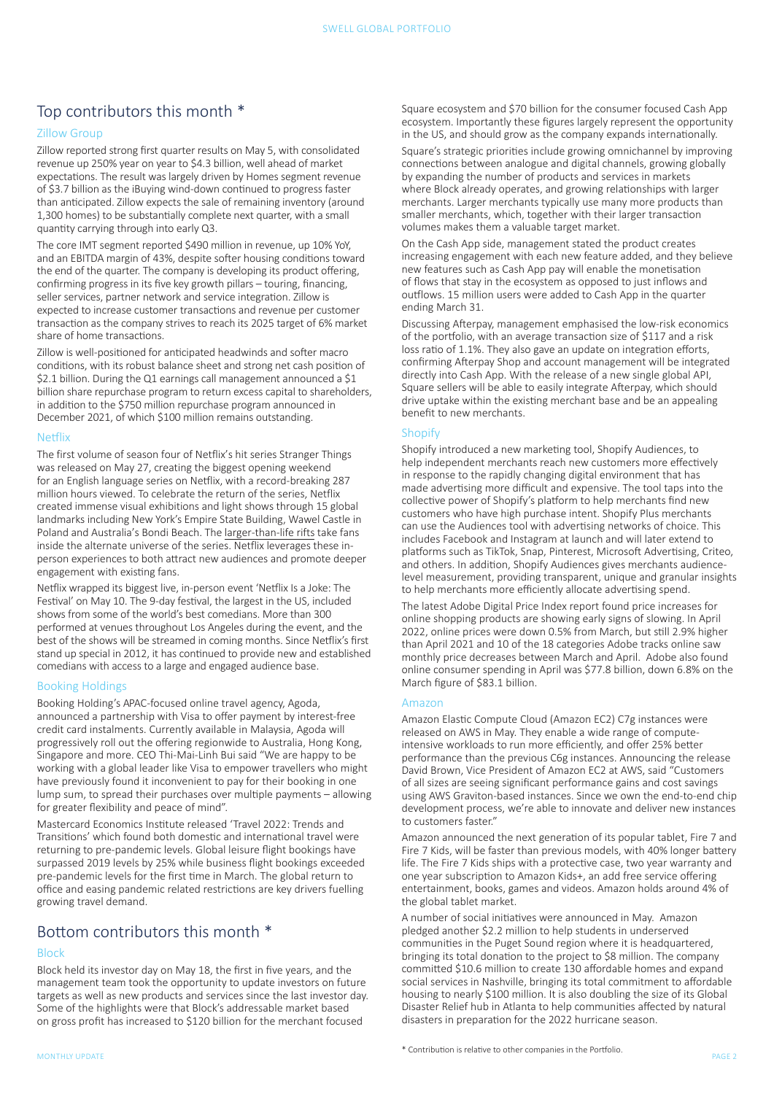#### Top contributors this month \*

#### Zillow Group

Zillow reported strong first quarter results on May 5, with consolidated revenue up 250% year on year to \$4.3 billion, well ahead of market expectations. The result was largely driven by Homes segment revenue of \$3.7 billion as the iBuying wind-down continued to progress faster than anticipated. Zillow expects the sale of remaining inventory (around 1,300 homes) to be substantially complete next quarter, with a small quantity carrying through into early Q3.

The core IMT segment reported \$490 million in revenue, up 10% YoY, and an EBITDA margin of 43%, despite softer housing conditions toward the end of the quarter. The company is developing its product offering, confirming progress in its five key growth pillars – touring, financing, seller services, partner network and service integration. Zillow is expected to increase customer transactions and revenue per customer transaction as the company strives to reach its 2025 target of 6% market share of home transactions.

Zillow is well-positioned for anticipated headwinds and softer macro conditions, with its robust balance sheet and strong net cash position of \$2.1 billion. During the Q1 earnings call management announced a \$1 billion share repurchase program to return excess capital to shareholders, in addition to the \$750 million repurchase program announced in December 2021, of which \$100 million remains outstanding.

#### Netflix

The first volume of season four of Netflix's hit series Stranger Things was released on May 27, creating the biggest opening weekend for an English language series on Netflix, with a record-breaking 287 million hours viewed. To celebrate the return of the series, Netflix created immense visual exhibitions and light shows through 15 global landmarks including New York's Empire State Building, Wawel Castle in Poland and Australia's Bondi Beach. The [larger-than-life rifts](https://about.netflix.com/en/news/stranger-things-4-rifts-take-over-global-landmarks) take fans inside the alternate universe of the series. Netflix leverages these inperson experiences to both attract new audiences and promote deeper engagement with existing fans.

Netflix wrapped its biggest live, in-person event 'Netflix Is a Joke: The Festival' on May 10. The 9-day festival, the largest in the US, included shows from some of the world's best comedians. More than 300 performed at venues throughout Los Angeles during the event, and the best of the shows will be streamed in coming months. Since Netflix's first stand up special in 2012, it has continued to provide new and established comedians with access to a large and engaged audience base.

#### Booking Holdings

Booking Holding's APAC-focused online travel agency, Agoda, announced a partnership with Visa to offer payment by interest-free credit card instalments. Currently available in Malaysia, Agoda will progressively roll out the offering regionwide to Australia, Hong Kong, Singapore and more. CEO Thi-Mai-Linh Bui said "We are happy to be working with a global leader like Visa to empower travellers who might have previously found it inconvenient to pay for their booking in one lump sum, to spread their purchases over multiple payments – allowing for greater flexibility and peace of mind".

Mastercard Economics Institute released 'Travel 2022: Trends and Transitions' which found both domestic and international travel were returning to pre-pandemic levels. Global leisure flight bookings have surpassed 2019 levels by 25% while business flight bookings exceeded pre-pandemic levels for the first time in March. The global return to office and easing pandemic related restrictions are key drivers fuelling growing travel demand.

# Bottom contributors this month \*

#### Block

Block held its investor day on May 18, the first in five years, and the management team took the opportunity to update investors on future targets as well as new products and services since the last investor day. Some of the highlights were that Block's addressable market based on gross profit has increased to \$120 billion for the merchant focused

Square's strategic priorities include growing omnichannel by improving connections between analogue and digital channels, growing globally by expanding the number of products and services in markets where Block already operates, and growing relationships with larger merchants. Larger merchants typically use many more products than smaller merchants, which, together with their larger transaction volumes makes them a valuable target market.

On the Cash App side, management stated the product creates increasing engagement with each new feature added, and they believe new features such as Cash App pay will enable the monetisation of flows that stay in the ecosystem as opposed to just inflows and outflows. 15 million users were added to Cash App in the quarter ending March 31.

Discussing Afterpay, management emphasised the low-risk economics of the portfolio, with an average transaction size of \$117 and a risk loss ratio of 1.1%. They also gave an update on integration efforts, confirming Afterpay Shop and account management will be integrated directly into Cash App. With the release of a new single global API, Square sellers will be able to easily integrate Afterpay, which should drive uptake within the existing merchant base and be an appealing benefit to new merchants.

#### **Shopify**

Shopify introduced a new marketing tool, Shopify Audiences, to help independent merchants reach new customers more effectively in response to the rapidly changing digital environment that has made advertising more difficult and expensive. The tool taps into the collective power of Shopify's platform to help merchants find new customers who have high purchase intent. Shopify Plus merchants can use the Audiences tool with advertising networks of choice. This includes Facebook and Instagram at launch and will later extend to platforms such as TikTok, Snap, Pinterest, Microsoft Advertising, Criteo, and others. In addition, Shopify Audiences gives merchants audiencelevel measurement, providing transparent, unique and granular insights to help merchants more efficiently allocate advertising spend.

The latest Adobe Digital Price Index report found price increases for online shopping products are showing early signs of slowing. In April 2022, online prices were down 0.5% from March, but still 2.9% higher than April 2021 and 10 of the 18 categories Adobe tracks online saw monthly price decreases between March and April. Adobe also found online consumer spending in April was \$77.8 billion, down 6.8% on the March figure of \$83.1 billion.

#### Amazon

Amazon Elastic Compute Cloud (Amazon EC2) C7g instances were released on AWS in May. They enable a wide range of computeintensive workloads to run more efficiently, and offer 25% better performance than the previous C6g instances. Announcing the release David Brown, Vice President of Amazon EC2 at AWS, said "Customers of all sizes are seeing significant performance gains and cost savings using AWS Graviton-based instances. Since we own the end-to-end chip development process, we're able to innovate and deliver new instances to customers faster."

Amazon announced the next generation of its popular tablet, Fire 7 and Fire 7 Kids, will be faster than previous models, with 40% longer battery life. The Fire 7 Kids ships with a protective case, two year warranty and one year subscription to Amazon Kids+, an add free service offering entertainment, books, games and videos. Amazon holds around 4% of the global tablet market.

A number of social initiatives were announced in May. Amazon pledged another \$2.2 million to help students in underserved communities in the Puget Sound region where it is headquartered, bringing its total donation to the project to \$8 million. The company committed \$10.6 million to create 130 affordable homes and expand social services in Nashville, bringing its total commitment to affordable housing to nearly \$100 million. It is also doubling the size of its Global Disaster Relief hub in Atlanta to help communities affected by natural disasters in preparation for the 2022 hurricane season.